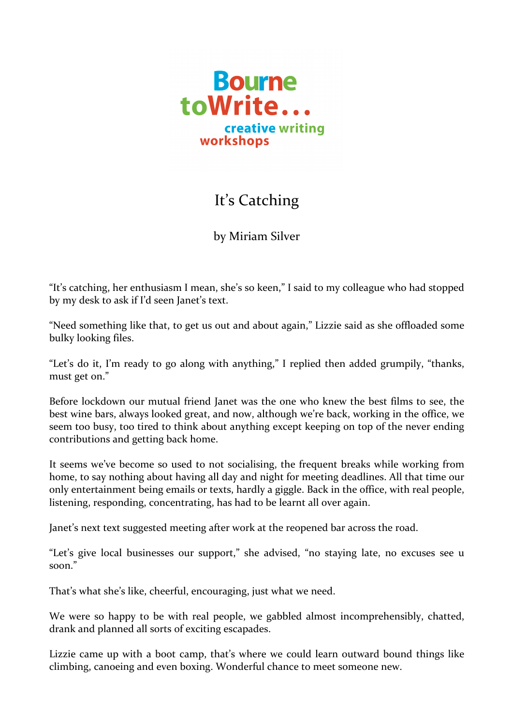

## It' s Catching

by Miriam Silver

"It's catching, her enthusiasm I mean, she's so keen," I said to my colleague who had stopped by my desk to ask if I'd seen Janet's text.

"Need something like that, to get us out and about again," Lizzie said as she offloaded some bulky looking files.

"Let's do it, I'm ready to go along with anything," I replied then added grumpily, "thanks, must get on."

Before lockdown our mutual friend Janet was the one who knew the best films to see, the best wine bars, always looked great, and now, although we're back, working in the office, we seem too busy, too tired to think about anything except keeping on top of the never ending contributions and getting back home.

It seems we've become so used to not socialising, the frequent breaks while working from home, to say nothing about having all day and night for meeting deadlines. All that time our only entertainment being emails or texts, hardly a giggle. Back in the office, with real people, listening, responding, concentrating, has had to be learnt all over again.

Janet's next text suggested meeting after work at the reopened bar across the road.

"Let's give local businesses our support," she advised, "no staying late, no excuses see u soon."

That's what she's like, cheerful, encouraging, just what we need.

We were so happy to be with real people, we gabbled almost incomprehensibly, chatted, drank and planned all sorts of exciting escapades.

Lizzie came up with a boot camp, that's where we could learn outward bound things like climbing, canoeing and even boxing. Wonderful chance to meet someone new.